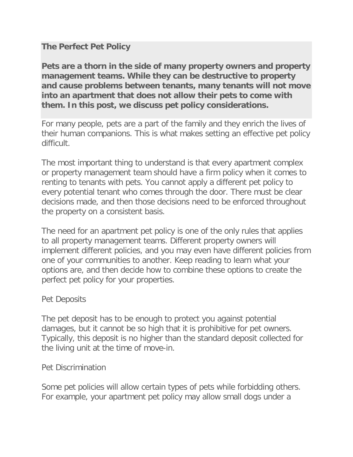# **The Perfect Pet Policy**

**Pets are a thorn in the side of many property owners and property management teams. While they can be destructive to property and cause problems between tenants, many tenants will not move into an apartment that does not allow their pets to come with them. In this post, we discuss pet policy considerations.**

For many people, pets are a part of the family and they enrich the lives of their human companions. This is what makes setting an effective pet policy difficult.

The most important thing to understand is that every apartment complex or property management team should have a firm policy when it comes to renting to tenants with pets. You cannot apply a different pet policy to every potential tenant who comes through the door. There must be clear decisions made, and then those decisions need to be enforced throughout the property on a consistent basis.

The need for an apartment pet policy is one of the only rules that applies to all property management teams. Different property owners will implement different policies, and you may even have different policies from one of your communities to another. Keep reading to learn what your options are, and then decide how to combine these options to create the perfect pet policy for your properties.

## Pet Deposits

The pet deposit has to be enough to protect you against potential damages, but it cannot be so high that it is prohibitive for pet owners. Typically, this deposit is no higher than the standard deposit collected for the living unit at the time of move-in.

## Pet Discrimination

Some pet policies will allow certain types of pets while forbidding others. For example, your apartment pet policy may allow small dogs under a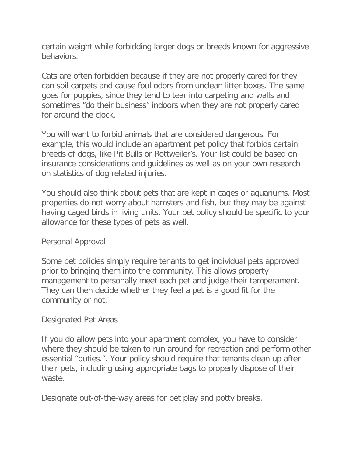certain weight while forbidding larger dogs or breeds known for aggressive behaviors.

Cats are often forbidden because if they are not properly cared for they can soil carpets and cause foul odors from unclean litter boxes. The same goes for puppies, since they tend to tear into carpeting and walls and sometimes "do their business" indoors when they are not properly cared for around the clock.

You will want to forbid animals that are considered dangerous. For example, this would include an apartment pet policy that forbids certain breeds of dogs, like Pit Bulls or Rottweiler's. Your list could be based on insurance considerations and guidelines as well as on your own research on statistics of dog related injuries.

You should also think about pets that are kept in cages or aquariums. Most properties do not worry about hamsters and fish, but they may be against having caged birds in living units. Your pet policy should be specific to your allowance for these types of pets as well.

## Personal Approval

Some pet policies simply require tenants to get individual pets approved prior to bringing them into the community. This allows property management to personally meet each pet and judge their temperament. They can then decide whether they feel a pet is a good fit for the community or not.

## Designated Pet Areas

If you do allow pets into your apartment complex, you have to consider where they should be taken to run around for recreation and perform other essential "duties.". Your policy should require that tenants clean up after their pets, including using appropriate bags to properly dispose of their waste.

Designate out-of-the-way areas for pet play and potty breaks.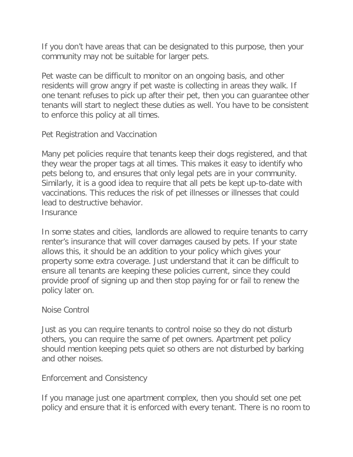If you don't have areas that can be designated to this purpose, then your community may not be suitable for larger pets.

Pet waste can be difficult to monitor on an ongoing basis, and other residents will grow angry if pet waste is collecting in areas they walk. If one tenant refuses to pick up after their pet, then you can guarantee other tenants will start to neglect these duties as well. You have to be consistent to enforce this policy at all times.

Pet Registration and Vaccination

Many pet policies require that tenants keep their dogs registered, and that they wear the proper tags at all times. This makes it easy to identify who pets belong to, and ensures that only legal pets are in your community. Similarly, it is a good idea to require that all pets be kept up-to-date with vaccinations. This reduces the risk of pet illnesses or illnesses that could lead to destructive behavior. **Insurance** 

In some states and cities, landlords are allowed to require tenants to carry renter's insurance that will cover damages caused by pets. If your state allows this, it should be an addition to your policy which gives your property some extra coverage. Just understand that it can be difficult to ensure all tenants are keeping these policies current, since they could provide proof of signing up and then stop paying for or fail to renew the policy later on.

Noise Control

Just as you can require tenants to control noise so they do not disturb others, you can require the same of pet owners. Apartment pet policy should mention keeping pets quiet so others are not disturbed by barking and other noises.

Enforcement and Consistency

If you manage just one apartment complex, then you should set one pet policy and ensure that it is enforced with every tenant. There is no room to